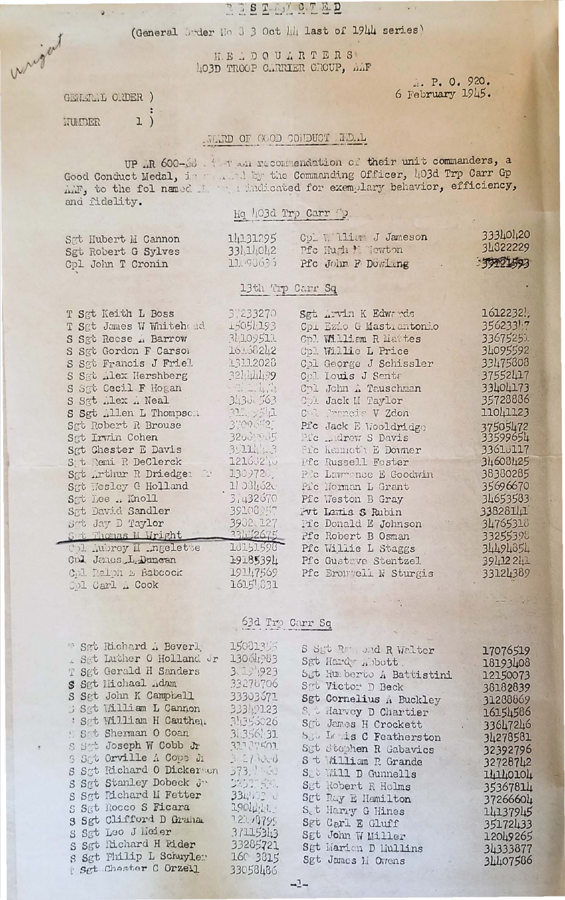### REEL MOTED

(General Juder No 3 3 Oct 14 last of 1944 series)

H.E.DOUARTERS 403D TROOP CARTIER GROUP, AMF

> ... P. O. 920. 6 February 1945.

 $\sim$  7

GENERAL ORDER )  $1)$ HUIDER

Mrgan

 $2 - 4 - 1$ 

### TIRD OF GOD CONDUCT ID.L

UP .R 600-60 . Their and recommendation of their unit commanders, a Good Conduct Medal, in the Commanding Officer, 403d Trp Carr Gp A.F., to the fol named I didicated for exemplary behavior, efficiency, and fidelity.

### Hq 403d Trp Carr D

13th Trp Carr Sq

33111042 Pfc Hugh \* Tewton

Sgt Hubert M Cannon Sgt Robert G Sylves Cpl John T Cronin

T Sgt Keith L Boss

37233270

14131295

11090635

Sgt Arvin K Edwards

Pfc John F Dowling

Cpl William J Jameson

33340420 34322229 333221493

T Sgt James W Whiteh ad S Sgt Reese .. Barrow S Sgt Gordon F Carson S Sgt Francis J Friel S Sat Alex Hershberg S Sat Cecil F Hogan S Sgt Alex A Neal S Sgt Allen L Thompson Sgt Robert R Brouse Sgt Irvin Cohen Sgt Chester E Davis St Remi R DeClerck Sgt Arthur R Driedge: Sgt Wesley G Holland Sat Lee .. Knoll Sat David Sandler Sot Jay D Taylor St Thomas M Wright Col Aubrey II Ingelette Cpl Janes L Duncan Col Palph & Babcock Col Carl . Cook

**15051.193** 31.109511 16:58242 13112028 3244499  $-1 = 1 + 1$ 3435.563 31. 2541 37096521 32009035  $3.111 - 3$ 12160210  $130972.$  $11331,520$  $31432670$ 39108957 3902.127 33422675 10151598 19185394 19147569 1615 631

Cpi Ezio G Mastiantonio Cpl William R Mattes Cpl Willie L Price Cpl George J Schissler Col Louis J Senta Chl John A Tauschman Col Jack II Taylor C I Proncis V Zdon Pic Jack E Wooldridge Pic Ludrew S Davis Fic Kenneth E Downer Pfc Russell Foster Pic Lawrence E Goodwin Pic Norman L Grant Pfc Weston B Gray Put Lenis S Rubin Pic Donald E Johnson Pfc Robert B Osman Pfc Willie L Staggs Pfc Gustave Stentzel Pfc Bronwell W Sturgis

63d Trp Carr Sq

 $-2-$ 

" Sgt Richard A Beverl, - Set Luther 0 Holland Jr T Set Gerald H Sanders S Sgt Hichael Adam S Sgt John K Campbell Sgt William L Cannon ' Sgt William H Cauthen Set Sherman O Coan S Set Joseph W Cobb Jr S Sat Orville A Cope Ji S Sgt Richard O Dickerson S Sgt Stanley Dobeck Ju S Sgt Richard II Fetter S Sgt Rocco S Ficara 3 Sgt Clifford D Graha S Sgt Leo J Meier S Sgt Richard H Rider S Sgt Philip L Schuyler Set Chaster C Orzell

S Syt Randel R Walter Sgt Hardy Abott. Set Humberto A Battistini Sot Victor D Beck Sgt Cornelius A Buckley S & Harvey D Chartier Sgt James H Crockett Sou La is C Featherston Sut Stophen R Gabavics S t William R Grande St Will D Gunnells Sgt Robert R Holms Sgt Ray E Hamilton Set Harry G Hines Sgt Carl E Gluff Sgt John W Miller Sgt Marien D Mullins Sgt James Li Owens